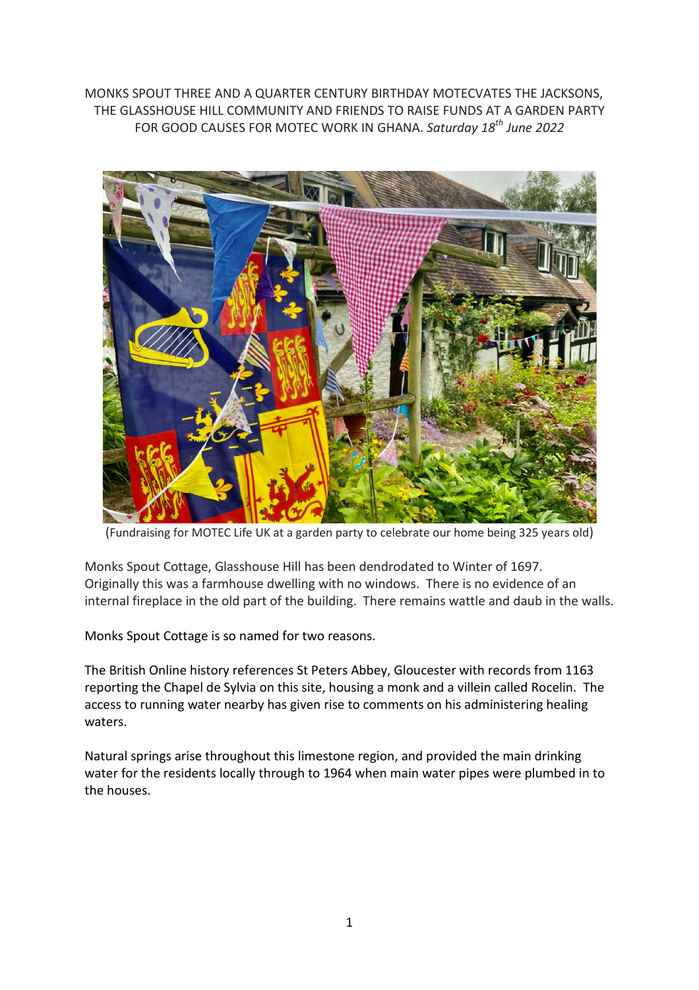MONKS SPOUT THREE AND A QUARTER CENTURY BIRTHDAY MOTECVATES THE JACKSONS, THE GLASSHOUSE HILL COMMUNITY AND FRIENDS TO RAISE FUNDS AT A GARDEN PARTY FOR GOOD CAUSES FOR MOTEC WORK IN GHANA. *Saturday 18th June 2022*



(Fundraising for MOTEC Life UK at a garden party to celebrate our home being 325 years old)

Monks Spout Cottage, Glasshouse Hill has been dendrodated to Winter of 1697. Originally this was a farmhouse dwelling with no windows. There is no evidence of an internal fireplace in the old part of the building. There remains wattle and daub in the walls.

Monks Spout Cottage is so named for two reasons.

The British Online history references St Peters Abbey, Gloucester with records from 1163 reporting the Chapel de Sylvia on this site, housing a monk and a villein called Rocelin. The access to running water nearby has given rise to comments on his administering healing waters.

Natural springs arise throughout this limestone region, and provided the main drinking water for the residents locally through to 1964 when main water pipes were plumbed in to the houses.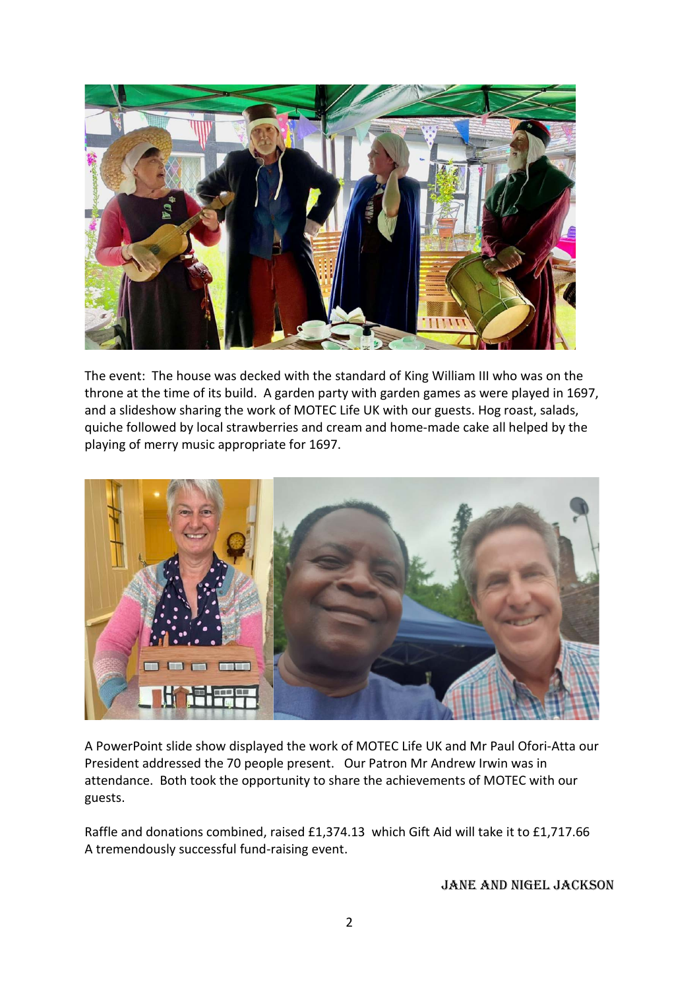

The event: The house was decked with the standard of King William III who was on the throne at the time of its build. A garden party with garden games as were played in 1697, and a slideshow sharing the work of MOTEC Life UK with our guests. Hog roast, salads, quiche followed by local strawberries and cream and home-made cake all helped by the playing of merry music appropriate for 1697.



A PowerPoint slide show displayed the work of MOTEC Life UK and Mr Paul Ofori-Atta our President addressed the 70 people present. Our Patron Mr Andrew Irwin was in attendance. Both took the opportunity to share the achievements of MOTEC with our guests.

Raffle and donations combined, raised £1,374.13 which Gift Aid will take it to £1,717.66 A tremendously successful fund-raising event.

Jane and Nigel Jackson